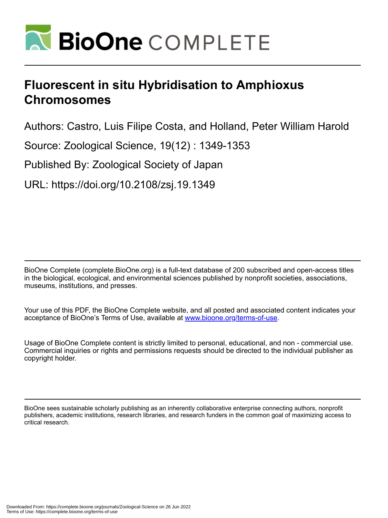

# **Fluorescent in situ Hybridisation to Amphioxus Chromosomes**

Authors: Castro, Luis Filipe Costa, and Holland, Peter William Harold

Source: Zoological Science, 19(12) : 1349-1353

Published By: Zoological Society of Japan

URL: https://doi.org/10.2108/zsj.19.1349

BioOne Complete (complete.BioOne.org) is a full-text database of 200 subscribed and open-access titles in the biological, ecological, and environmental sciences published by nonprofit societies, associations, museums, institutions, and presses.

Your use of this PDF, the BioOne Complete website, and all posted and associated content indicates your acceptance of BioOne's Terms of Use, available at www.bioone.org/terms-of-use.

Usage of BioOne Complete content is strictly limited to personal, educational, and non - commercial use. Commercial inquiries or rights and permissions requests should be directed to the individual publisher as copyright holder.

BioOne sees sustainable scholarly publishing as an inherently collaborative enterprise connecting authors, nonprofit publishers, academic institutions, research libraries, and research funders in the common goal of maximizing access to critical research.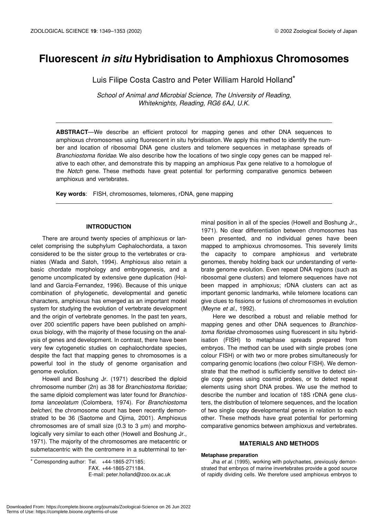# **Fluorescent** *in situ* **Hybridisation to Amphioxus Chromosomes**

Luis Filipe Costa Castro and Peter William Harold Holland\*

*School of Animal and Microbial Science, The University of Reading, Whiteknights, Reading, RG6 6AJ, U.K.*

**ABSTRACT**—We describe an efficient protocol for mapping genes and other DNA sequences to amphioxus chromosomes using fluorescent in situ hybridisation. We apply this method to identify the number and location of ribosomal DNA gene clusters and telomere sequences in metaphase spreads of *Branchiostoma floridae*. We also describe how the locations of two single copy genes can be mapped relative to each other, and demonstrate this by mapping an amphioxus Pax gene relative to a homologue of the *Notch* gene. These methods have great potential for performing comparative genomics between amphioxus and vertebrates.

**Key words**: FISH, chromosomes, telomeres, rDNA, gene mapping

# **INTRODUCTION**

There are around twenty species of amphioxus or lancelet comprising the subphylum Cephalochordata, a taxon considered to be the sister group to the vertebrates or craniates (Wada and Satoh, 1994). Amphioxus also retain a basic chordate morphology and embryogenesis, and a genome uncomplicated by extensive gene duplication (Holland and Garcia-Fernandez, 1996). Because of this unique combination of phylogenetic, developmental and genetic characters, amphioxus has emerged as an important model system for studying the evolution of vertebrate development and the origin of vertebrate genomes. In the past ten years, over 200 scientific papers have been published on amphioxus biology, with the majority of these focusing on the analysis of genes and development. In contrast, there have been very few cytogenetic studies on cephalochordate species, despite the fact that mapping genes to chromosomes is a powerful tool in the study of genome organisation and genome evolution.

Howell and Boshung Jr. (1971) described the diploid chromosome number (2n) as 38 for *Branchiostoma floridae;* the same diploid complement was later found for *Branchiostoma lanceolatum* (Colombera, 1974). For *Branchiostoma belcheri*, the chromosome count has been recently demonstrated to be 36 (Saotome and Ojima, 2001). Amphioxus chromosomes are of small size (0.3 to 3  $\mu$ m) and morphologically very similar to each other (Howell and Boshung Jr., 1971). The majority of the chromosomes are metacentric or submetacentric with the centromere in a subterminal to ter-

\* Corresponding author: Tel. +44-1865-271185; FAX. +44-1865-271184.

E-mail: peter.holland@zoo.ox.ac.uk

minal position in all of the species (Howell and Boshung Jr., 1971). No clear differentiation between chromosomes has been presented, and no individual genes have been mapped to amphioxus chromosomes. This severely limits the capacity to compare amphioxus and vertebrate genomes, thereby holding back our understanding of vertebrate genome evolution. Even repeat DNA regions (such as ribosomal gene clusters) and telomere sequences have not been mapped in amphioxus; rDNA clusters can act as important genomic landmarks, while telomere locations can give clues to fissions or fusions of chromosomes in evolution (Meyne *et al.*, 1992).

Here we described a robust and reliable method for mapping genes and other DNA sequences to *Branchiostoma floridae* chromosomes using fluorescent in situ hybridisation (FISH) to metaphase spreads prepared from embryos. The method can be used with single probes (one colour FISH) or with two or more probes simultaneously for comparing genomic locations (two colour FISH). We demonstrate that the method is sufficiently sensitive to detect single copy genes using cosmid probes, or to detect repeat elements using short DNA probes. We use the method to describe the number and location of 18S rDNA gene clusters, the distribution of telomere sequences, and the location of two single copy developmental genes in relation to each other. These methods have great potential for performing comparative genomics between amphioxus and vertebrates.

# **MATERIALS AND METHODS**

#### **Metaphase preparation**

Jha *et al.* (1995), working with polychaetes, previously demonstrated that embryos of marine invertebrates provide a good source of rapidly dividing cells. We therefore used amphioxus embryos to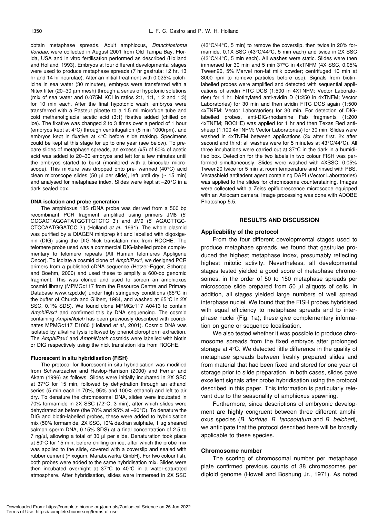obtain metaphase spreads. Adult amphioxus, *Branchiostoma floridae,* were collected in August 2001 from Old Tampa Bay, Florida, USA and in vitro fertilisation performed as described (Holland and Holland, 1993). Embryos at four different developmental stages were used to produce metaphase spreads (7 hr gastrula; 12 hr, 13 hr and 14 hr neurulae). After an initial treatment with 0.025% colchicine in sea water (30 minutes), embryos were transferred with a Nitex filter (20–30 µm mesh) through a series of hypotonic solutions (mix of sea water and 0.075M KCl in ratios 2:1, 1:1, 1:2 and 1:3) for 10 min each. After the final hypotonic wash, embryos were transferred with a Pasteur pipette to a 1.5 ml microfuge tube and cold methanol:glacial acetic acid (3:1) fixative added (chilled on ice). The fixative was changed 2 to 3 times over a period of 1 hour (embryos kept at 4°C) through centrifugation (5 min 1000rpm), and embryos kept in fixative at 4°C before slide making. Specimens could be kept at this stage for up to one year (see below). To prepare slides of metaphase spreads, an excess (x5) of 60% of acetic acid was added to 20–30 embryos and left for a few minutes until the embryos started to burst (monitored with a binocular microscope). This mixture was dropped onto pre- warmed (40°C) acid clean microscope slides (50  $\mu$ l per slide), left until dry ( $\sim$  15 min) and analysed for metaphase index. Slides were kept at –20°C in a dark sealed box.

#### **DNA isolation and probe generation**

The amphioxus 18S rDNA probe was derived from a 500 bp recombinant PCR fragment amplified using primers JM8 (5' GCCACTAGCATATGCTTGTCTC 3') and JM9 (5' AGACTTGC-CTCCAATGGATCC 3') (Holland *et al.*, 1991). The whole plasmid was purified by a QIAGEN miniprep kit and labelled with digoxigenin (DIG) using the DIG-Nick translation mix from ROCHE. The telomere probe used was a commercial DIG-labelled probe complementary to telomere repeats (All Human telomeres Appligene Oncor). To isolate a cosmid clone of *AmphiPax1*, we designed PCR primers from a published cDNA sequence (Hetzer-Egger, Schorpp and Boehm, 2000) and used these to amplify a 600-bp genomic fragment. This was cloned and used to screen an amphioxus cosmid library (MPMGc117 from the Resource Centre and Primary Database www.rzpd.de) under high stringency conditions (65°C in the buffer of Church and Gilbert, 1984, and washed at 65°C in 2X SSC, 0.1% SDS). We found clone MPMGc117 A0413 to contain *AmphiPax1* and confirmed this by DNA sequencing. The cosmid containing *AmphiNotch* has been previously described with coordinates MPMGc117 E1080 (Holland *et al.*, 2001). Cosmid DNA was isolated by alkaline lysis followed by phenol:clorophorm extraction. The *AmphiPax1* and *AmphiNotch* cosmids were labelled with biotin or DIG respectively using the nick translation kits from ROCHE.

## **Fluorescent in situ hybridisation (FISH)**

The protocol for fluorescent in situ hybridisation was modified from Schwarzacher and Heslop-Harrison (2000) and Ferrier and Akam (1996) as follows. Slides were initially incubated in 2X SSC at 37°C for 15 min, followed by dehydration through an ethanol series (5 min each in 70%, 95% and 100% ethanol) and left to air dry. To denature the chromosomal DNA, slides were incubated in 70% formamide in 2X SSC (72°C, 3 min), after which slides were dehydrated as before (the 70% and 95% at –20°C). To denature the DIG and biotin-labelled probes, these were added to hybridisation mix (50% formamide, 2X SSC, 10% dextran sulphate, 1 µg sheared salmon sperm DNA, 0.15% SDS) at a final concentration of 2.5 to 7 ng/µl, allowing a total of 30 µl per slide. Denaturation took place at 80°C for 15 min, before chilling on ice, after which the probe mix was applied to the slide, covered with a coverslip and sealed with rubber cement (Fixogum, Marabuwerke GmbH). For two colour fish, both probes were added to the same hybridisation mix. Slides were then incubated overnight at 37°C to 40°C in a water-saturated atmosphere. After hybridisation, slides were immersed in 2X SSC (43°C/44°C, 5 min) to remove the coverslip, then twice in 20% formamide, 0.1X SSC (43°C/44°C, 5 min each) and twice in 2X SSC (43°C/44°C, 5 min each). All washes were static. Slides were then immersed for 30 min and 5 min 37°C in 4xTNFM (4X SSC, 0.05% Tween20, 5% Marvel non-fat milk powder; centrifuged 10 min at 3000 rpm to remove particles before use). Signals from biotinlabelled probes were amplified and detected with sequential applications of avidin FITC DCS (1:500 in 4XTNFM; Vector Laboratories) for 1 hr, biotinylated anti-avidin D (1:250 in 4xTNFM; Vector Laboratories) for 30 min and then avidin FITC DCS again (1:500 4xTNFM; Vector Laboratories) for 30 min. For detection of DIGlabelled probes, anti-DIG-rhodamine Fab fragments (1:200 4xTNFM; ROCHE) was applied for 1 hr and then Texas Red antisheep (1:100 4xTNFM; Vector Laboratories) for 30 min. Slides were washed in 4xTNFM between applications (3x after first, 2x after second and third; all washes were for 5 minutes at 43°C/44°C). All three incubations were carried out at 37°C in the dark in a humidified box. Detection for the two labels in two colour FISH was performed simultaneously. Slides were washed with 4XSSC, 0.05% Tween20 twice for 5 min at room temperature and rinsed with PBS. Vectashield antifadent agent containing DAPI (Vector Laboratories) was applied to the slides for chromosome counterstaining. Images were collected with a Zeiss epifluorescence microscope equipped with an Axiocam camera. Image processing was done with ADOBE Photoshop 5.5.

# **RESULTS AND DISCUSSION**

# **Applicability of the protocol**

From the four different developmental stages used to produce metaphase spreads, we found that gastrulae produced the highest metaphase index, presumably reflecting highest mitotic activity. Nevertheless, all developmental stages tested yielded a good score of metaphase chromosomes, in the order of 50 to 150 metaphase spreads per microscope slide prepared from 50 µl aliquots of cells. In addition, all stages yielded large numbers of well spread interphase nuclei. We found that the FISH probes hybridised with equal efficiency to metaphase spreads and to interphase nuclei (Fig. 1a); these give complementary information on gene or sequence localisation.

We also tested whether it was possible to produce chromosome spreads from the fixed embryos after prolonged storage at 4°C. We detected little difference in the quality of metaphase spreads between freshly prepared slides and from material that had been fixed and stored for one year of storage prior to slide preparation. In both cases, slides gave excellent signals after probe hybridisation using the protocol described in this paper. This information is particularly relevant due to the seasonality of amphioxus spawning.

Furthermore, since descriptions of embryonic development are highly congruent between three different amphioxus species (*B. floridae, B. lanceolatum* and *B. belcheri*), we anticipate that the protocol described here will be broadly applicable to these species.

## **Chromosome number**

The scoring of chromosomal number per metaphase plate confirmed previous counts of 38 chromosomes per diploid genome (Howell and Boshung Jr., 1971). As noted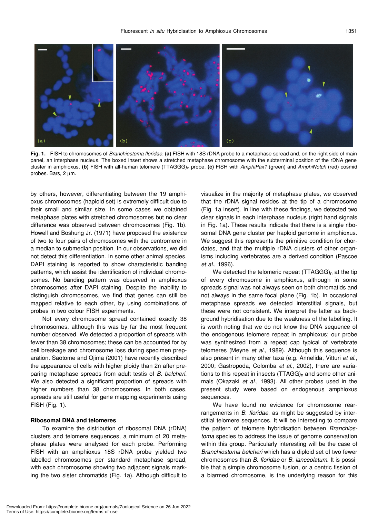

**Fig. 1.** FISH to chromosomes of *Branchiostoma floridae*. **(a)** FISH with 18S rDNA probe to a metaphase spread and, on the right side of main panel, an interphase nucleus. The boxed insert shows a stretched metaphase chromosome with the subterminal position of the rDNA gene cluster in amphioxus. **(b)** FISH with all-human telomere (TTAGGG)n probe. **(c)** FISH with *AmphiPax1* (green) and *AmphiNotch* (red) cosmid probes. Bars, 2 µm.

by others, however, differentiating between the 19 amphioxus chromosomes (haploid set) is extremely difficult due to their small and similar size. In some cases we obtained metaphase plates with stretched chromosomes but no clear difference was observed between chromosomes (Fig. 1b). Howell and Boshung Jr. (1971) have proposed the existence of two to four pairs of chromosomes with the centromere in a median to submedian position. In our observations, we did not detect this differentiation. In some other animal species, DAPI staining is reported to show characteristic banding patterns, which assist the identification of individual chromosomes. No banding pattern was observed in amphioxus chromosomes after DAPI staining. Despite the inability to distinguish chromosomes, we find that genes can still be mapped relative to each other, by using combinations of probes in two colour FISH experiments.

Not every chromosome spread contained exactly 38 chromosomes, although this was by far the most frequent number observed. We detected a proportion of spreads with fewer than 38 chromosomes; these can be accounted for by cell breakage and chromosome loss during specimen preparation. Saotome and Ojima (2001) have recently described the appearance of cells with higher ploidy than 2n after preparing metaphase spreads from adult testis of *B. belcheri.* We also detected a significant proportion of spreads with higher numbers than 38 chromosomes. In both cases, spreads are still useful for gene mapping experiments using FISH (Fig. 1).

# **Ribosomal DNA and telomeres**

To examine the distribution of ribosomal DNA (rDNA) clusters and telomere sequences, a minimum of 20 metaphase plates were analysed for each probe. Performing FISH with an amphioxus 18S rDNA probe yielded two labelled chromosomes per standard metaphase spread, with each chromosome showing two adjacent signals marking the two sister chromatids (Fig. 1a). Although difficult to visualize in the majority of metaphase plates, we observed that the rDNA signal resides at the tip of a chromosome (Fig. 1a insert). In line with these findings, we detected two clear signals in each interphase nucleus (right hand signals in Fig. 1a). These results indicate that there is a single ribosomal DNA gene cluster per haploid genome in amphioxus. We suggest this represents the primitive condition for chordates, and that the multiple rDNA clusters of other organisms including vertebrates are a derived condition (Pascoe *et al.*, 1996).

We detected the telomeric repeat  $(TTAGGG)_n$  at the tip of every chromosome in amphioxus, although in some spreads signal was not always seen on both chromatids and not always in the same focal plane (Fig. 1b). In occasional metaphase spreads we detected interstitial signals, but these were not consistent. We interpret the latter as background hybridisation due to the weakness of the labelling. It is worth noting that we do not know the DNA sequence of the endogenous telomere repeat in amphioxus; our probe was synthesized from a repeat cap typical of vertebrate telomeres (Meyne *et al.*, 1989). Although this sequence is also present in many other taxa (e.g. Annelida, Vitturi *et al.*, 2000; Gastropoda, Colomba *et al.*, 2002), there are variations to this repeat in insects  $(TTAGG)<sub>n</sub>$  and some other animals (Okazaki *et al.*, 1993). All other probes used in the present study were based on endogenous amphioxus sequences.

We have found no evidence for chromosome rearrangements in *B. floridae*, as might be suggested by interstitial telomere sequences. It will be interesting to compare the pattern of telomere hybridisation between *Branchiostoma* species to address the issue of genome conservation within this group. Particularly interesting will be the case of *Branchiostoma belcheri* which has a diploid set of two fewer chromosomes than *B. floridae* or *B. lanceolatum*. It is possible that a simple chromosome fusion, or a centric fission of a biarmed chromosome, is the underlying reason for this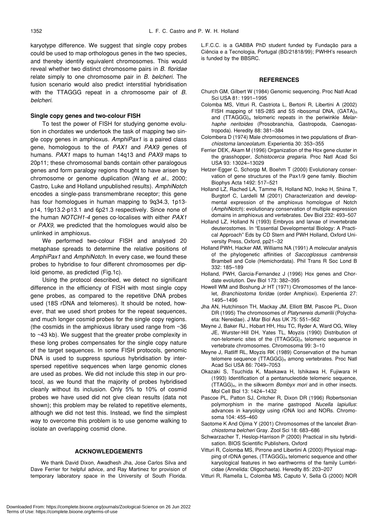karyotype difference. We suggest that single copy probes could be used to map orthologous genes in the two species, and thereby identify equivalent chromosomes. This would reveal whether two distinct chromosome pairs in *B. floridae* relate simply to one chromosome pair in *B. belcheri.* The fusion scenario would also predict interstitial hybridisation with the TTAGGG repeat in a chromosome pair of *B. belcheri*.

# **Single copy genes and two-colour FISH**

To test the power of FISH for studying genome evolution in chordates we undertook the task of mapping two single copy genes in amphioxus. *AmphiPax1* is a paired class gene, homologous to the of *PAX1* and *PAX9* genes of humans. *PAX1* maps to human 14q13 and *PAX9* maps to 20p11; these chromosomal bands contain other paralogous genes and form paralogy regions thought to have arisen by chromosome or genome duplication (Wang *et al*., 2000; Castro, Luke and Holland unpublished results). *AmphiNotch* encodes a single-pass transmembrane receptor; this gene has four homologues in human mapping to 9q34.3, 1p13 p14, 19p13.2-p13.1 and 6p21.3 respectively. Since none of the human *NOTCH1-4* genes co-localises with either *PAX1* or *PAX9*, we predicted that the homologues would also be unlinked in amphioxus.

We performed two-colour FISH and analysed 20 metaphase spreads to determine the relative positions of *AmphiPax1* and *AmphiNotch*. In every case, we found these probes to hybridise to four different chromosomes per diploid genome, as predicted (Fig.1c).

Using the protocol described, we detect no significant difference in the efficiency of FISH with most single copy gene probes, as compared to the repetitive DNA probes used (18S rDNA and telomeres). It should be noted, however, that we used short probes for the repeat sequences, and much longer cosmid probes for the single copy regions. (the cosmids in the amphioxus library used range from ~36 to ~43 kb). We suggest that the greater probe complexity in these long probes compensates for the single copy nature of the target sequences. In some FISH protocols, genomic DNA is used to suppress spurious hybridisation by interspersed repetitive sequences when large genomic clones are used as probes. We did not include this step in our protocol, as we found that the majority of probes hybridised cleanly without its inclusion. Only 5% to 10% of cosmid probes we have used did not give clean results (data not shown); this problem may be related to repetitive elements, although we did not test this. Instead, we find the simplest way to overcome this problem is to use genome walking to isolate an overlapping cosmid clone.

# **ACKNOWLEDGEMENTS**

We thank David Dixon, Awadhesh Jha, Jose Carlos Silva and Dave Ferrier for helpful advice, and Ray Martinez for provision of temporary laboratory space in the University of South Florida. L.F.C.C. is a GABBA PhD student funded by Fundação para a Ciência e a Tecnologia, Portugal (BD/21818/99); PWHH's research is funded by the BBSRC.

#### **REFERENCES**

- Church GM, Gilbert W (1984) Genomic sequencing. Proc Natl Acad Sci USA 81: 1991–1995
- Colomba MS, Vitturi R, Castriota L, Bertoni R, Libertini A (2002) FISH mapping of 18S-28S and 5S ribosomal DNA,  $(GATA)<sub>n</sub>$ and (TTAGGG)<sub>n</sub> telomeric repeats in the periwinkle Melar*haphe neritoides* (Prosobranchia, Gastropoda, Caenogastropoda). Heredity 88: 381–384
- Colombera D (1974) Male chromosomes in two populations of *Branchiostoma lanceolatum*. Experientia 30: 353–355
- Ferrier DEK, Akam M (1996) Organization of the Hox gene cluster in the grasshopper, *Schistocerca gregaria*. Proc Natl Acad Sci USA 93: 13024–13029
- Hetzer-Egger C, Schorpp M, Boehm T (2000) Evolutionary conservation of gene structures of the Pax1/9 gene family. Biochim Biophys Acta 1492: 517–521
- Holland LZ, Rached LA, Tamme R, Holland ND, Inoko H, Shiina T, Burgtorf C, Lardelli M (2001) Characterization and developmental expression of the amphioxus homologue of Notch (*AmphiNotch*): evolutionary conservation of multiple expression domains in amphioxus and vertebrates. Dev Biol 232: 493–507
- Holland LZ, Holland N (1993) Embryos and larvae of invertebrate deuterostomes. In "Essential Developmental Biology: A Practical Approach" Eds by CD Stern and PWH Holland, Oxford University Press, Oxford, pp21–32
- Holland PWH, Hacker AM, Williams NA (1991) A molecular analysis of the phylogenetic affinities of *Saccoglossus cambrensis* Brambell and Cole (Hemichordata). Phil Trans R Soc Lond B 332: 185–189
- Holland, PWH, Garcia-Fernandez J (1996) Hox genes and Chordate evolution. Dev Biol 173: 382–395
- Howell WM and Boshung Jr HT (1971) Chromosomes of the lancelet, *Branchiostoma forida*e (order Amphioxi). Experientia 27: 1495–1496
- Jha AN, Hutchinson TH, Mackay JM, Elliott BM, Pascoe PL, Dixon DR (1995) The chromosomes of *Platynereis dumerilii* (Polychaeta: Nereidae). J Mar Biol Ass UK 75: 551–562
- Meyne J, Baker RJ., Hobart HH, Hsu TC, Ryder A, Ward OG, Wiley JE, Wurster-Hill DH, Yates TL, Moyzis (1990) Distribution of non-telomeric sites of the (TTAGGG)<sub>n</sub> telomeric sequence in vertebrate chromosomes. Chromosoma 99: 3–10
- Meyne J, Ratliff RL, Moyzis RK (1989) Conservation of the human telomere sequence (TTAGGG)<sub>n</sub> among vertebrates. Proc Natl Acad Sci USA 86: 7049–7053
- Okazaki S, Tsuchida K, Maekawa H, Ishikawa H, Fujiwara H (1993) Identification of a pentanucleotide telomeric sequence, (TTAGG)n, in the silkworm *Bombyx mori* and in other insects. Mol Cell Biol 13: 1424–1432
- Pascoe PL, Patton SJ, Critcher R, Dixon DR (1996) Robertsonian polymorphism in the marine gastropod *Nucella lapiullus*: advances in karyology using rDNA loci and NORs. Chromosoma 104: 455–460
- Saotome K And Ojima Y (2001) Chromosomes of the lancelet *Branchiostoma belcheri* Gray. Zool Sci 18: 683–686
- Schwarzacher T, Heslop-Harrison P (2000) Practical in situ hybridisation. BIOS Scientific Publishers, Oxford
- Vitturi R, Colomba MS, Pirrone and Libertini A (2000) Physical mapping of rDNA genes, (TTAGGG)<sub>n</sub> telomeric sequence and other karyological features in two earthworms of the family Lumbricidae (Annelida: Oligochaeta). Heredity 85: 203–207
- Vitturi R, Ramella L, Colomba MS, Caputo V, Sella G (2000) NOR